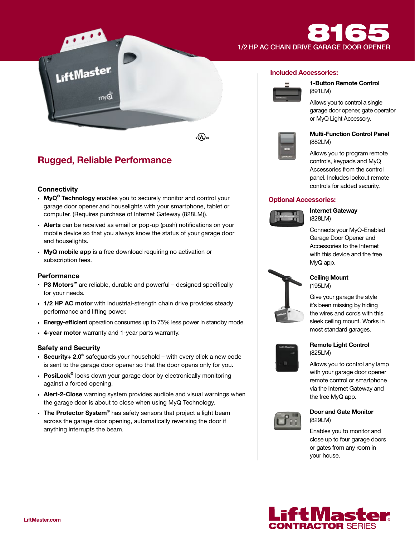# 1/2 HP AC CHAIN DRIVE GARAGE DOOR OPENER

**:ரு)**க

# Rugged, Reliable Performance

LiftMaster

## **Connectivity**

- MyQ<sup>®</sup> Technology enables you to securely monitor and control your garage door opener and houselights with your smartphone, tablet or computer. (Requires purchase of Internet Gateway (828LM)).
- Alerts can be received as email or pop-up (push) notifications on your mobile device so that you always know the status of your garage door and houselights.
- MyQ mobile app is a free download requiring no activation or subscription fees.

## **Performance**

- P3 Motors™ are reliable, durable and powerful designed specifically for your needs.
- 1/2 HP AC motor with industrial-strength chain drive provides steady performance and lifting power.
- Energy-efficient operation consumes up to 75% less power in standby mode.
- 4-year motor warranty and 1-year parts warranty.

## Safety and Security

- Security+ 2.0<sup>®</sup> safeguards your household with every click a new code is sent to the garage door opener so that the door opens only for you.
- PosiLock<sup>®</sup> locks down your garage door by electronically monitoring against a forced opening.
- Alert-2-Close warning system provides audible and visual warnings when the garage door is about to close when using MyQ Technology.
- The Protector System® has safety sensors that project a light beam across the garage door opening, automatically reversing the door if anything interrupts the beam.

## Included Accessories:



1-Button Remote Control (891LM)

Allows you to control a single garage door opener, gate operator or MyQ Light Accessory.



## Multi-Function Control Panel (882LM)

Allows you to program remote controls, keypads and MyQ Accessories from the control panel. Includes lockout remote controls for added security.

## Optional Accessories:



Internet Gateway (828LM)

Connects your MyQ-Enabled Garage Door Opener and Accessories to the Internet with this device and the free MyQ app.



## Ceiling Mount (195LM)

Give your garage the style it's been missing by hiding the wires and cords with this sleek ceiling mount. Works in most standard garages.



### Remote Light Control (825LM)

Allows you to control any lamp with your garage door opener remote control or smartphone via the Internet Gateway and the free MyQ app.



## Door and Gate Monitor (829LM)

Enables you to monitor and close up to four garage doors or gates from any room in your house.